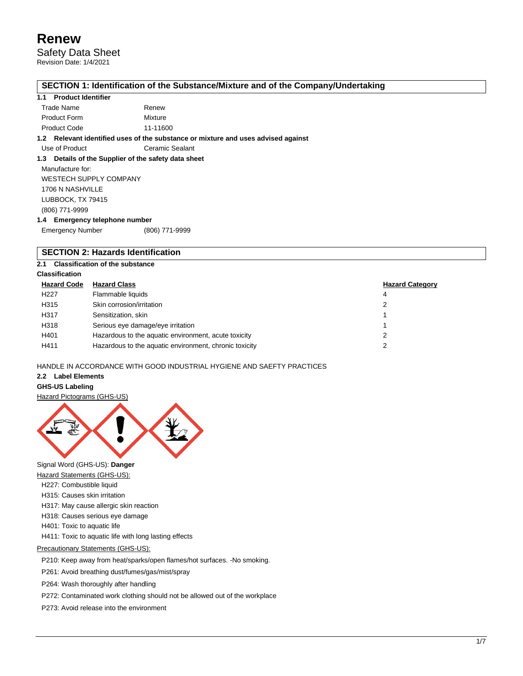Safety Data Sheet Revision Date: 1/4/2021

## **SECTION 1: Identification of the Substance/Mixture and of the Company/Undertaking**

#### **1.1 Product Identifier**

| Trade Name          | Renew    |
|---------------------|----------|
| <b>Product Form</b> | Mixture  |
| <b>Product Code</b> | 11-11600 |

#### **1.2 Relevant identified uses of the substance or mixture and uses advised against**

Use of Product **Ceramic Sealant** 

#### **1.3 Details of the Supplier of the safety data sheet**

Manufacture for: WESTECH SUPPLY COMPANY 1706 N NASHVILLE LUBBOCK, TX 79415 (806) 771-9999 **1.4 Emergency telephone number**

| . |                         |                |
|---|-------------------------|----------------|
|   | <b>Emergency Number</b> | (806) 771-9999 |

## **SECTION 2: Hazards Identification**

### **2.1 Classification of the substance**

#### **Classification**

| <b>Hazard Code</b> | <b>Hazard Class</b>                                    | <b>Hazard Category</b> |
|--------------------|--------------------------------------------------------|------------------------|
| H <sub>22</sub> 7  | Flammable liquids                                      | 4                      |
| H315               | Skin corrosion/irritation                              |                        |
| H317               | Sensitization, skin                                    |                        |
| H318               | Serious eye damage/eye irritation                      |                        |
| H401               | Hazardous to the aquatic environment, acute toxicity   |                        |
| H411               | Hazardous to the aquatic environment, chronic toxicity |                        |

#### HANDLE IN ACCORDANCE WITH GOOD INDUSTRIAL HYGIENE AND SAEFTY PRACTICES

#### **2.2 Label Elements**

## **GHS-US Labeling**

#### Hazard Pictograms (GHS-US)



Signal Word (GHS-US): **Danger**

- **Hazard Statements (GHS-US):**
- H227: Combustible liquid
- H315: Causes skin irritation
- H317: May cause allergic skin reaction
- H318: Causes serious eye damage
- H401: Toxic to aquatic life
- H411: Toxic to aquatic life with long lasting effects

#### Precautionary Statements (GHS-US):

P210: Keep away from heat/sparks/open flames/hot surfaces. -No smoking.

P261: Avoid breathing dust/fumes/gas/mist/spray

P264: Wash thoroughly after handling

P272: Contaminated work clothing should not be allowed out of the workplace

P273: Avoid release into the environment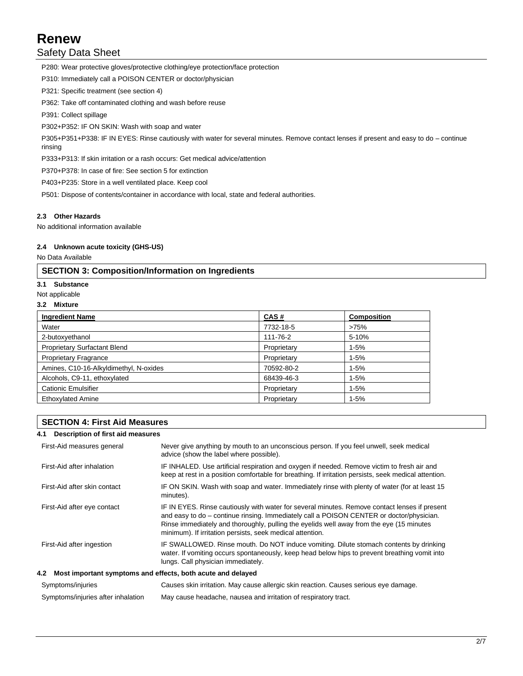## Safety Data Sheet

P280: Wear protective gloves/protective clothing/eye protection/face protection

P310: Immediately call a POISON CENTER or doctor/physician

P321: Specific treatment (see section 4)

P362: Take off contaminated clothing and wash before reuse

P391: Collect spillage

P302+P352: IF ON SKIN: Wash with soap and water

P305+P351+P338: IF IN EYES: Rinse cautiously with water for several minutes. Remove contact lenses if present and easy to do – continue rinsing

P333+P313: If skin irritation or a rash occurs: Get medical advice/attention

P370+P378: In case of fire: See section 5 for extinction

P403+P235: Store in a well ventilated place. Keep cool

P501: Dispose of contents/container in accordance with local, state and federal authorities.

#### **2.3 Other Hazards**

No additional information available

#### **2.4 Unknown acute toxicity (GHS-US)**

No Data Available

## **SECTION 3: Composition/Information on Ingredients**

#### **3.1 Substance**

- Not applicable
- **3.2 Mixture**

| <b>Ingredient Name</b>                 | CAS#        | <b>Composition</b> |
|----------------------------------------|-------------|--------------------|
| Water                                  | 7732-18-5   | >75%               |
| 2-butoxyethanol                        | 111-76-2    | 5-10%              |
| <b>Proprietary Surfactant Blend</b>    | Proprietary | $1 - 5%$           |
| <b>Proprietary Fragrance</b>           | Proprietary | $1 - 5%$           |
| Amines, C10-16-Alkyldimethyl, N-oxides | 70592-80-2  | $1 - 5%$           |
| Alcohols, C9-11, ethoxylated           | 68439-46-3  | $1 - 5%$           |
| <b>Cationic Emulsifier</b>             | Proprietary | $1 - 5%$           |
| <b>Ethoxylated Amine</b>               | Proprietary | $1 - 5%$           |

## **SECTION 4: First Aid Measures**

| 4.1 Description of first aid measures                           |                                                                                                                                                                                                                                                                                                                                                    |
|-----------------------------------------------------------------|----------------------------------------------------------------------------------------------------------------------------------------------------------------------------------------------------------------------------------------------------------------------------------------------------------------------------------------------------|
| First-Aid measures general                                      | Never give anything by mouth to an unconscious person. If you feel unwell, seek medical<br>advice (show the label where possible).                                                                                                                                                                                                                 |
| First-Aid after inhalation                                      | IF INHALED. Use artificial respiration and oxygen if needed. Remove victim to fresh air and<br>keep at rest in a position comfortable for breathing. If irritation persists, seek medical attention.                                                                                                                                               |
| First-Aid after skin contact                                    | IF ON SKIN. Wash with soap and water. Immediately rinse with plenty of water (for at least 15<br>minutes).                                                                                                                                                                                                                                         |
| First-Aid after eye contact                                     | IF IN EYES. Rinse cautiously with water for several minutes. Remove contact lenses if present<br>and easy to do – continue rinsing. Immediately call a POISON CENTER or doctor/physician.<br>Rinse immediately and thoroughly, pulling the eyelids well away from the eye (15 minutes<br>minimum). If irritation persists, seek medical attention. |
| First-Aid after ingestion                                       | IF SWALLOWED. Rinse mouth. Do NOT induce vomiting. Dilute stomach contents by drinking<br>water. If vomiting occurs spontaneously, keep head below hips to prevent breathing vomit into<br>lungs. Call physician immediately.                                                                                                                      |
| 4.2 Most important symptoms and effects, both acute and delayed |                                                                                                                                                                                                                                                                                                                                                    |
| Symptoms/injuries                                               | Causes skin irritation. May cause allergic skin reaction. Causes serious eye damage.                                                                                                                                                                                                                                                               |
| Symptoms/injuries after inhalation                              | May cause headache, nausea and irritation of respiratory tract.                                                                                                                                                                                                                                                                                    |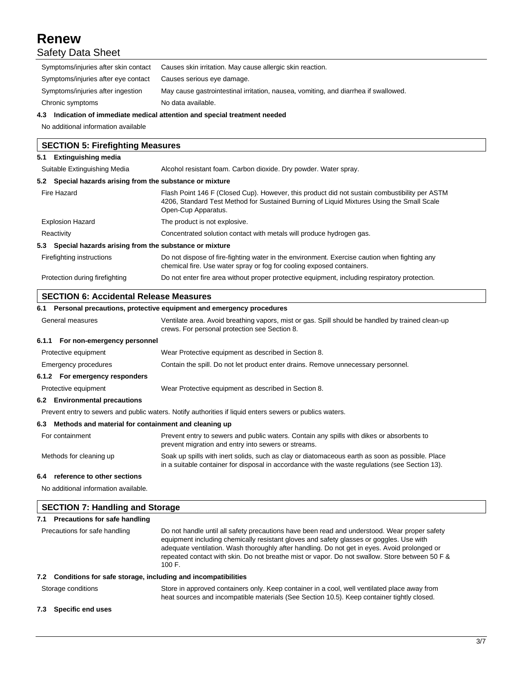## **Renew** Safety Data Sheet

| Symptoms/injuries after skin contact                      | Causes skin irritation. May cause allergic skin reaction.                                                                                                                                                         |  |  |
|-----------------------------------------------------------|-------------------------------------------------------------------------------------------------------------------------------------------------------------------------------------------------------------------|--|--|
| Symptoms/injuries after eye contact                       | Causes serious eye damage.                                                                                                                                                                                        |  |  |
| Symptoms/injuries after ingestion                         | May cause gastrointestinal irritation, nausea, vomiting, and diarrhea if swallowed.                                                                                                                               |  |  |
| Chronic symptoms                                          | No data available.                                                                                                                                                                                                |  |  |
|                                                           | 4.3 Indication of immediate medical attention and special treatment needed                                                                                                                                        |  |  |
| No additional information available                       |                                                                                                                                                                                                                   |  |  |
| <b>SECTION 5: Firefighting Measures</b>                   |                                                                                                                                                                                                                   |  |  |
| 5.1 Extinguishing media                                   |                                                                                                                                                                                                                   |  |  |
| Suitable Extinguishing Media                              | Alcohol resistant foam. Carbon dioxide. Dry powder. Water spray.                                                                                                                                                  |  |  |
| 5.2 Special hazards arising from the substance or mixture |                                                                                                                                                                                                                   |  |  |
| Fire Hazard                                               | Flash Point 146 F (Closed Cup). However, this product did not sustain combustibility per ASTM<br>4206, Standard Test Method for Sustained Burning of Liquid Mixtures Using the Small Scale<br>Open-Cup Apparatus. |  |  |
| <b>Explosion Hazard</b>                                   | The product is not explosive.                                                                                                                                                                                     |  |  |
| Reactivity                                                | Concentrated solution contact with metals will produce hydrogen gas.                                                                                                                                              |  |  |

#### **5.3 Special hazards arising from the substance or mixture**

| Firefighting instructions      | Do not dispose of fire-fighting water in the environment. Exercise caution when fighting any<br>chemical fire. Use water spray or fog for cooling exposed containers. |
|--------------------------------|-----------------------------------------------------------------------------------------------------------------------------------------------------------------------|
| Protection during firefighting | Do not enter fire area without proper protective equipment, including respiratory protection.                                                                         |

## **SECTION 6: Accidental Release Measures**

## **6.1 Personal precautions, protective equipment and emergency procedures** General measures Ventilate area. Avoid breathing vapors, mist or gas. Spill should be handled by trained clean-up crews. For personal protection see Section 8. **6.1.1 For non-emergency personnel** Protective equipment Wear Protective equipment as described in Section 8. Emergency procedures Contain the spill. Do not let product enter drains. Remove unnecessary personnel. **6.1.2 For emergency responders** Protective equipment Wear Protective equipment as described in Section 8. **6.2 Environmental precautions** Prevent entry to sewers and public waters. Notify authorities if liquid enters sewers or publics waters. **6.3 Methods and material for containment and cleaning up** For containment **Prevent entry to sewers and public waters**. Contain any spills with dikes or absorbents to prevent migration and entry into sewers or streams. Methods for cleaning up Soak up spills with inert solids, such as clay or diatomaceous earth as soon as possible. Place in a suitable container for disposal in accordance with the waste regulations (see Section 13).

## **6.4 reference to other sections**

No additional information available.

| <b>SECTION 7: Handling and Storage</b>                              |                                                                                                                                                                                                                                                                                                                                                                                                       |  |
|---------------------------------------------------------------------|-------------------------------------------------------------------------------------------------------------------------------------------------------------------------------------------------------------------------------------------------------------------------------------------------------------------------------------------------------------------------------------------------------|--|
| Precautions for safe handling<br>7.1                                |                                                                                                                                                                                                                                                                                                                                                                                                       |  |
| Precautions for safe handling                                       | Do not handle until all safety precautions have been read and understood. Wear proper safety<br>equipment including chemically resistant gloves and safety glasses or goggles. Use with<br>adequate ventilation. Wash thoroughly after handling. Do not get in eyes. Avoid prolonged or<br>repeated contact with skin. Do not breathe mist or vapor. Do not swallow. Store between 50 F &<br>100 $F1$ |  |
| Conditions for safe storage, including and incompatibilities<br>7.2 |                                                                                                                                                                                                                                                                                                                                                                                                       |  |

Storage conditions Store in approved containers only. Keep container in a cool, well ventilated place away from heat sources and incompatible materials (See Section 10.5). Keep container tightly closed.

## **7.3 Specific end uses**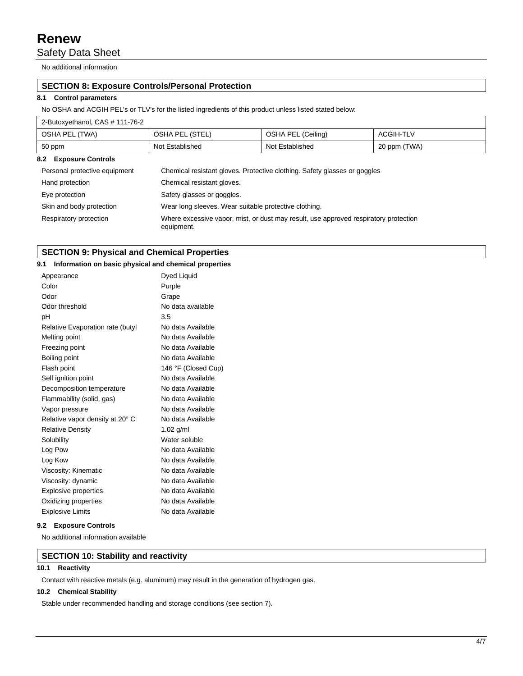Safety Data Sheet

No additional information

## **SECTION 8: Exposure Controls/Personal Protection**

## **8.1 Control parameters**

No OSHA and ACGIH PEL's or TLV's for the listed ingredients of this product unless listed stated below:

| 2-Butoxyethanol, CAS # 111-76-2 |                                                                                                    |                    |                  |
|---------------------------------|----------------------------------------------------------------------------------------------------|--------------------|------------------|
| OSHA PEL (TWA)                  | OSHA PEL (STEL)                                                                                    | OSHA PEL (Ceiling) | <b>ACGIH-TLV</b> |
| 50 ppm                          | Not Established                                                                                    | Not Established    | 20 ppm (TWA)     |
| 8.2 Exposure Controls           |                                                                                                    |                    |                  |
| Personal protective equipment   | Chemical resistant gloves. Protective clothing. Safety glasses or goggles                          |                    |                  |
| Hand protection                 | Chemical resistant gloves.                                                                         |                    |                  |
| Eye protection                  | Safety glasses or goggles.                                                                         |                    |                  |
| Skin and body protection        | Wear long sleeves. Wear suitable protective clothing.                                              |                    |                  |
| Respiratory protection          | Where excessive vapor, mist, or dust may result, use approved respiratory protection<br>equipment. |                    |                  |

## **SECTION 9: Physical and Chemical Properties**

| 9.1                              | Information on basic physical and chemical properties |
|----------------------------------|-------------------------------------------------------|
| Appearance                       |                                                       |
| Color                            |                                                       |
| Odor                             |                                                       |
| Odor threshold                   |                                                       |
| pH                               |                                                       |
| Relative Evaporation rate (butyl | No data Available                                     |
| Melting point                    | No data Available                                     |
| Freezing point                   | No data Available                                     |
| Boiling point                    | No data Available                                     |
| Flash point                      | 146 °F (Closed Cup)                                   |
| Self ignition point              | No data Available                                     |
| Decomposition temperature        | No data Available                                     |
| Flammability (solid, gas)        | No data Available                                     |
| Vapor pressure                   | No data Available                                     |
| Relative vapor density at 20° C  | No data Available                                     |
| <b>Relative Density</b>          | 1.02 g/ml                                             |
| Solubility                       | Water soluble                                         |
| Log Pow                          | No data Available                                     |
| Log Kow                          | No data Available                                     |
| Viscosity: Kinematic             | No data Available                                     |
| Viscosity: dynamic               | No data Available                                     |
| Explosive properties             | No data Available                                     |
| Oxidizing properties             | No data Available                                     |
| <b>Explosive Limits</b>          | No data Available                                     |

#### **9.2 Exposure Controls**

No additional information available

#### **SECTION 10: Stability and reactivity**

#### **10.1 Reactivity**

Contact with reactive metals (e.g. aluminum) may result in the generation of hydrogen gas.

### **10.2 Chemical Stability**

Stable under recommended handling and storage conditions (see section 7).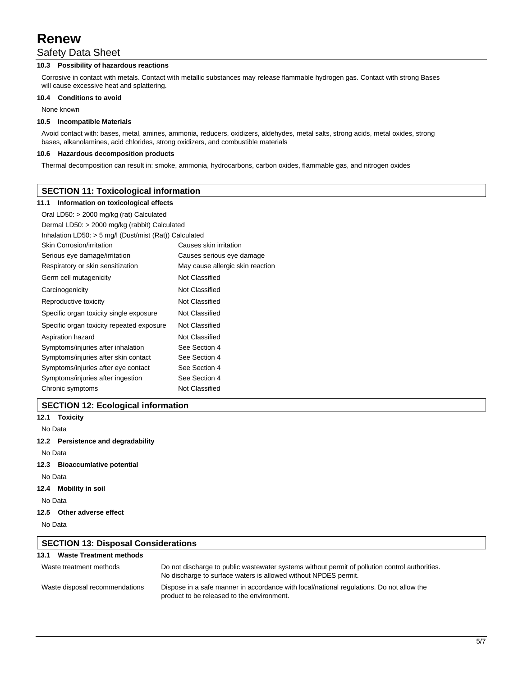## Safety Data Sheet

## **10.3 Possibility of hazardous reactions**

Corrosive in contact with metals. Contact with metallic substances may release flammable hydrogen gas. Contact with strong Bases will cause excessive heat and splattering.

#### **10.4 Conditions to avoid**

None known

#### **10.5 Incompatible Materials**

Avoid contact with: bases, metal, amines, ammonia, reducers, oxidizers, aldehydes, metal salts, strong acids, metal oxides, strong bases, alkanolamines, acid chlorides, strong oxidizers, and combustible materials

#### **10.6 Hazardous decomposition products**

Thermal decomposition can result in: smoke, ammonia, hydrocarbons, carbon oxides, flammable gas, and nitrogen oxides

## **SECTION 11: Toxicological information**

#### **11.1 Information on toxicological effects**

| Dermal LD50: > 2000 mg/kg (rabbit) Calculated            |  |  |
|----------------------------------------------------------|--|--|
| Inhalation LD50: $>$ 5 mg/l (Dust/mist (Rat)) Calculated |  |  |
| Causes skin irritation                                   |  |  |
| Causes serious eye damage                                |  |  |
| May cause allergic skin reaction                         |  |  |
| Not Classified                                           |  |  |
| Not Classified                                           |  |  |
| Not Classified                                           |  |  |
| Not Classified                                           |  |  |
| Not Classified                                           |  |  |
| Not Classified                                           |  |  |
| See Section 4                                            |  |  |
| See Section 4                                            |  |  |
| See Section 4                                            |  |  |
| See Section 4                                            |  |  |
| Not Classified                                           |  |  |
|                                                          |  |  |

## **SECTION 12: Ecological information**

## **12.1 Toxicity**

No Data

**12.2 Persistence and degradability**

No Data

**12.3 Bioaccumlative potential**

No Data

**12.4 Mobility in soil**

No Data

#### **12.5 Other adverse effect**

No Data

| <b>SECTION 13: Disposal Considerations</b> |                                                                                                                                                                   |  |
|--------------------------------------------|-------------------------------------------------------------------------------------------------------------------------------------------------------------------|--|
| <b>Waste Treatment methods</b><br>13.1     |                                                                                                                                                                   |  |
| Waste treatment methods                    | Do not discharge to public wastewater systems without permit of pollution control authorities.<br>No discharge to surface waters is allowed without NPDES permit. |  |
| Waste disposal recommendations             | Dispose in a safe manner in accordance with local/national regulations. Do not allow the<br>product to be released to the environment.                            |  |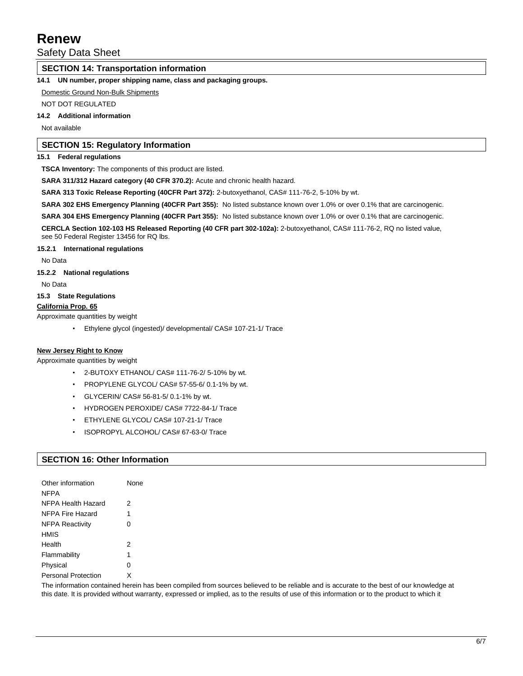Safety Data Sheet

## **SECTION 14: Transportation information**

**14.1 UN number, proper shipping name, class and packaging groups.**

Domestic Ground Non-Bulk Shipments

NOT DOT REGULATED

#### **14.2 Additional information**

Not available

## **SECTION 15: Regulatory Information**

#### **15.1 Federal regulations**

**TSCA Inventory:** The components of this product are listed.

**SARA 311/312 Hazard category (40 CFR 370.2):** Acute and chronic health hazard.

SARA 313 Toxic Release Reporting (40CFR Part 372): 2-butoxyethanol, CAS# 111-76-2, 5-10% by wt.

**SARA 302 EHS Emergency Planning (40CFR Part 355):** No listed substance known over 1.0% or over 0.1% that are carcinogenic.

**SARA 304 EHS Emergency Planning (40CFR Part 355):** No listed substance known over 1.0% or over 0.1% that are carcinogenic.

**CERCLA Section 102-103 HS Released Reporting (40 CFR part 302-102a):** 2-butoxyethanol, CAS# 111-76-2, RQ no listed value,

see 50 Federal Register 13456 for RQ lbs.

**15.2.1 International regulations**

No Data

**15.2.2 National regulations**

No Data

### **15.3 State Regulations**

**California Prop. 65**

Approximate quantities by weight

• Ethylene glycol (ingested)/ developmental/ CAS# 107-21-1/ Trace

#### **New Jersey Right to Know**

Approximate quantities by weight

- 2-BUTOXY ETHANOL/ CAS# 111-76-2/ 5-10% by wt.
- PROPYLENE GLYCOL/ CAS# 57-55-6/ 0.1-1% by wt.
- GLYCERIN/ CAS# 56-81-5/ 0.1-1% by wt.
- HYDROGEN PEROXIDE/ CAS# 7722-84-1/ Trace
- ETHYLENE GLYCOL/ CAS# 107-21-1/ Trace
- ISOPROPYL ALCOHOL/ CAS# 67-63-0/ Trace

## **SECTION 16: Other Information**

| Other information<br><b>NFPA</b> | None |
|----------------------------------|------|
| NFPA Health Hazard               | 2    |
| NFPA Fire Hazard                 | 1    |
| <b>NFPA Reactivity</b>           | 0    |
| <b>HMIS</b>                      |      |
| Health                           | 2    |
| Flammability                     | 4    |
| Physical                         | 0    |
| <b>Personal Protection</b>       | X    |

The information contained herein has been compiled from sources believed to be reliable and is accurate to the best of our knowledge at this date. It is provided without warranty, expressed or implied, as to the results of use of this information or to the product to which it